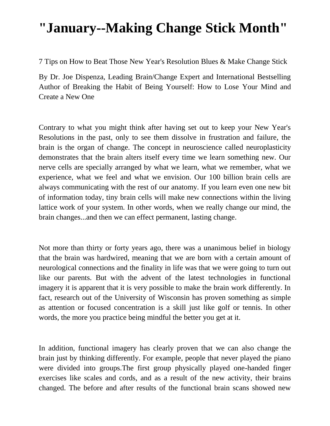# **"January--Making Change Stick Month"**

7 Tips on How to Beat Those New Year's Resolution Blues & Make Change Stick

By Dr. Joe Dispenza, Leading Brain/Change Expert and International Bestselling Author of Breaking the Habit of Being Yourself: How to Lose Your Mind and Create a New One

Contrary to what you might think after having set out to keep your New Year's Resolutions in the past, only to see them dissolve in frustration and failure, the brain is the organ of change. The concept in neuroscience called neuroplasticity demonstrates that the brain alters itself every time we learn something new. Our nerve cells are specially arranged by what we learn, what we remember, what we experience, what we feel and what we envision. Our 100 billion brain cells are always communicating with the rest of our anatomy. If you learn even one new bit of information today, tiny brain cells will make new connections within the living lattice work of your system. In other words, when we really change our mind, the brain changes...and then we can effect permanent, lasting change.

Not more than thirty or forty years ago, there was a unanimous belief in biology that the brain was hardwired, meaning that we are born with a certain amount of neurological connections and the finality in life was that we were going to turn out like our parents. But with the advent of the latest technologies in functional imagery it is apparent that it is very possible to make the brain work differently. In fact, research out of the University of Wisconsin has proven something as simple as attention or focused concentration is a skill just like golf or tennis. In other words, the more you practice being mindful the better you get at it.

In addition, functional imagery has clearly proven that we can also change the brain just by thinking differently. For example, people that never played the piano were divided into groups.The first group physically played one-handed finger exercises like scales and cords, and as a result of the new activity, their brains changed. The before and after results of the functional brain scans showed new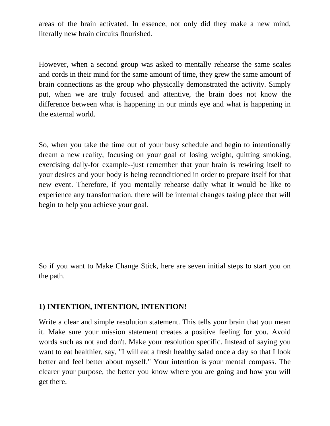areas of the brain activated. In essence, not only did they make a new mind, literally new brain circuits flourished.

However, when a second group was asked to mentally rehearse the same scales and cords in their mind for the same amount of time, they grew the same amount of brain connections as the group who physically demonstrated the activity. Simply put, when we are truly focused and attentive, the brain does not know the difference between what is happening in our minds eye and what is happening in the external world.

So, when you take the time out of your busy schedule and begin to intentionally dream a new reality, focusing on your goal of losing weight, quitting smoking, exercising daily-for example--just remember that your brain is rewiring itself to your desires and your body is being reconditioned in order to prepare itself for that new event. Therefore, if you mentally rehearse daily what it would be like to experience any transformation, there will be internal changes taking place that will begin to help you achieve your goal.

So if you want to Make Change Stick, here are seven initial steps to start you on the path.

#### **1) INTENTION, INTENTION, INTENTION!**

Write a clear and simple resolution statement. This tells your brain that you mean it. Make sure your mission statement creates a positive feeling for you. Avoid words such as not and don't. Make your resolution specific. Instead of saying you want to eat healthier, say, "I will eat a fresh healthy salad once a day so that I look better and feel better about myself." Your intention is your mental compass. The clearer your purpose, the better you know where you are going and how you will get there.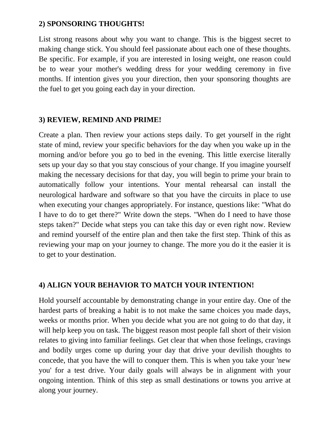#### **2) SPONSORING THOUGHTS!**

List strong reasons about why you want to change. This is the biggest secret to making change stick. You should feel passionate about each one of these thoughts. Be specific. For example, if you are interested in losing weight, one reason could be to wear your mother's wedding dress for your wedding ceremony in five months. If intention gives you your direction, then your sponsoring thoughts are the fuel to get you going each day in your direction.

#### **3) REVIEW, REMIND AND PRIME!**

Create a plan. Then review your actions steps daily. To get yourself in the right state of mind, review your specific behaviors for the day when you wake up in the morning and/or before you go to bed in the evening. This little exercise literally sets up your day so that you stay conscious of your change. If you imagine yourself making the necessary decisions for that day, you will begin to prime your brain to automatically follow your intentions. Your mental rehearsal can install the neurological hardware and software so that you have the circuits in place to use when executing your changes appropriately. For instance, questions like: "What do I have to do to get there?" Write down the steps. "When do I need to have those steps taken?" Decide what steps you can take this day or even right now. Review and remind yourself of the entire plan and then take the first step. Think of this as reviewing your map on your journey to change. The more you do it the easier it is to get to your destination.

#### **4) ALIGN YOUR BEHAVIOR TO MATCH YOUR INTENTION!**

Hold yourself accountable by demonstrating change in your entire day. One of the hardest parts of breaking a habit is to not make the same choices you made days, weeks or months prior. When you decide what you are not going to do that day, it will help keep you on task. The biggest reason most people fall short of their vision relates to giving into familiar feelings. Get clear that when those feelings, cravings and bodily urges come up during your day that drive your devilish thoughts to concede, that you have the will to conquer them. This is when you take your 'new you' for a test drive. Your daily goals will always be in alignment with your ongoing intention. Think of this step as small destinations or towns you arrive at along your journey.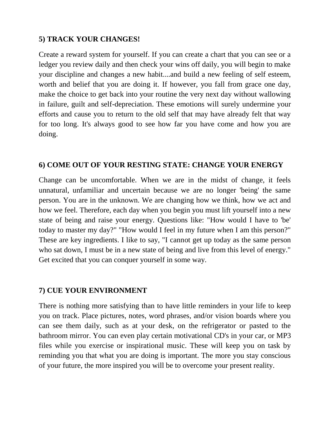## **5) TRACK YOUR CHANGES!**

Create a reward system for yourself. If you can create a chart that you can see or a ledger you review daily and then check your wins off daily, you will begin to make your discipline and changes a new habit....and build a new feeling of self esteem, worth and belief that you are doing it. If however, you fall from grace one day, make the choice to get back into your routine the very next day without wallowing in failure, guilt and self-depreciation. These emotions will surely undermine your efforts and cause you to return to the old self that may have already felt that way for too long. It's always good to see how far you have come and how you are doing.

### **6) COME OUT OF YOUR RESTING STATE: CHANGE YOUR ENERGY**

Change can be uncomfortable. When we are in the midst of change, it feels unnatural, unfamiliar and uncertain because we are no longer 'being' the same person. You are in the unknown. We are changing how we think, how we act and how we feel. Therefore, each day when you begin you must lift yourself into a new state of being and raise your energy. Questions like: "How would I have to 'be' today to master my day?" "How would I feel in my future when I am this person?" These are key ingredients. I like to say, "I cannot get up today as the same person who sat down, I must be in a new state of being and live from this level of energy." Get excited that you can conquer yourself in some way.

#### **7) CUE YOUR ENVIRONMENT**

There is nothing more satisfying than to have little reminders in your life to keep you on track. Place pictures, notes, word phrases, and/or vision boards where you can see them daily, such as at your desk, on the refrigerator or pasted to the bathroom mirror. You can even play certain motivational CD's in your car, or MP3 files while you exercise or inspirational music. These will keep you on task by reminding you that what you are doing is important. The more you stay conscious of your future, the more inspired you will be to overcome your present reality.